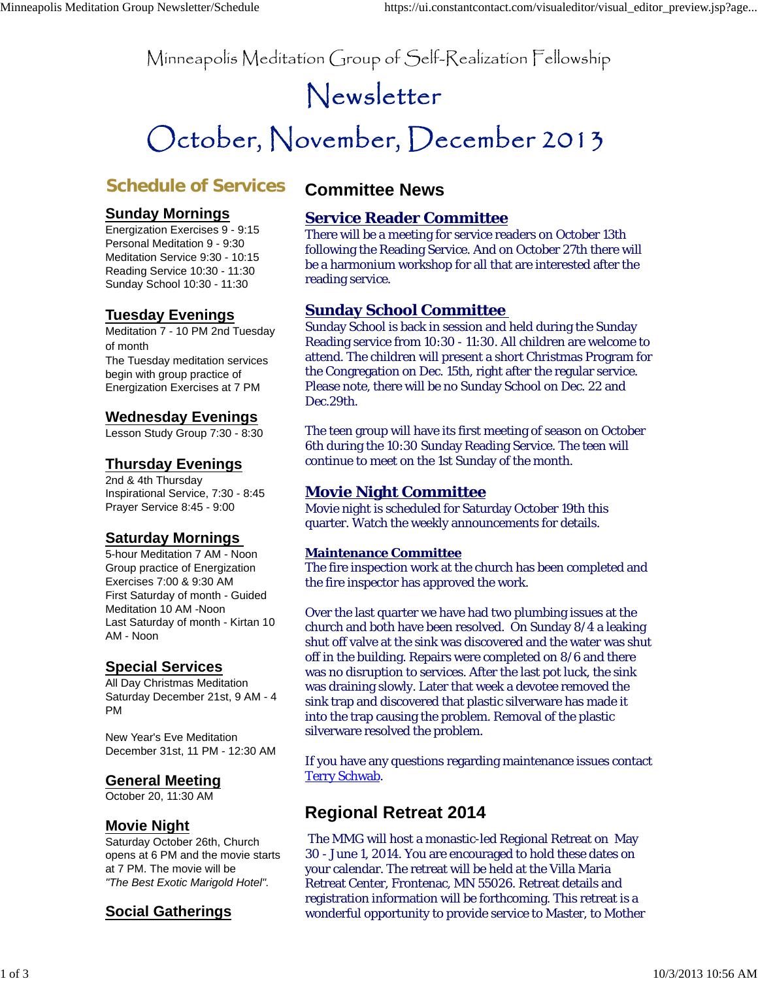Minneapolis Meditation Group of Self-Realization Fellowship

# Newsletter

# October, November, December 2013

# **Schedule of Services**

## **Sunday Mornings**

Energization Exercises 9 - 9:15 Personal Meditation 9 - 9:30 Meditation Service 9:30 - 10:15 Reading Service 10:30 - 11:30 Sunday School 10:30 - 11:30

## **Tuesday Evenings**

Meditation 7 - 10 PM 2nd Tuesday of month The Tuesday meditation services begin with group practice of Energization Exercises at 7 PM

## **Wednesday Evenings**

Lesson Study Group 7:30 - 8:30

## **Thursday Evenings**

2nd & 4th Thursday Inspirational Service, 7:30 - 8:45 Prayer Service 8:45 - 9:00

## **Saturday Mornings**

5-hour Meditation 7 AM - Noon Group practice of Energization Exercises 7:00 & 9:30 AM First Saturday of month - Guided Meditation 10 AM -Noon Last Saturday of month - Kirtan 10 AM - Noon

## **Special Services**

All Day Christmas Meditation Saturday December 21st, 9 AM - 4 PM

New Year's Eve Meditation December 31st, 11 PM - 12:30 AM

## **General Meeting**

October 20, 11:30 AM

## **Movie Night**

Saturday October 26th, Church opens at 6 PM and the movie starts at 7 PM. The movie will be *"The Best Exotic Marigold Hotel".*

## **Social Gatherings**

## **Committee News**

## **Service Reader Committee**

There will be a meeting for service readers on October 13th following the Reading Service. And on October 27th there will be a harmonium workshop for all that are interested after the reading service.

## **Sunday School Committee**

Sunday School is back in session and held during the Sunday Reading service from 10:30 - 11:30. All children are welcome to attend. The children will present a short Christmas Program for the Congregation on Dec. 15th, right after the regular service. Please note, there will be no Sunday School on Dec. 22 and Dec.29th.

The teen group will have its first meeting of season on October 6th during the 10:30 Sunday Reading Service. The teen will continue to meet on the 1st Sunday of the month.

## **Movie Night Committee**

Movie night is scheduled for Saturday October 19th this quarter. Watch the weekly announcements for details.

#### **Maintenance Committee**

The fire inspection work at the church has been completed and the fire inspector has approved the work.

Over the last quarter we have had two plumbing issues at the church and both have been resolved. On Sunday 8/4 a leaking shut off valve at the sink was discovered and the water was shut off in the building. Repairs were completed on 8/6 and there was no disruption to services. After the last pot luck, the sink was draining slowly. Later that week a devotee removed the sink trap and discovered that plastic silverware has made it into the trap causing the problem. Removal of the plastic silverware resolved the problem.

If you have any questions regarding maintenance issues contact Terry Schwab.

# **Regional Retreat 2014**

 The MMG will host a monastic-led Regional Retreat on May 30 - June 1, 2014. You are encouraged to hold these dates on your calendar. The retreat will be held at the Villa Maria Retreat Center, Frontenac, MN 55026. Retreat details and registration information will be forthcoming. This retreat is a wonderful opportunity to provide service to Master, to Mother